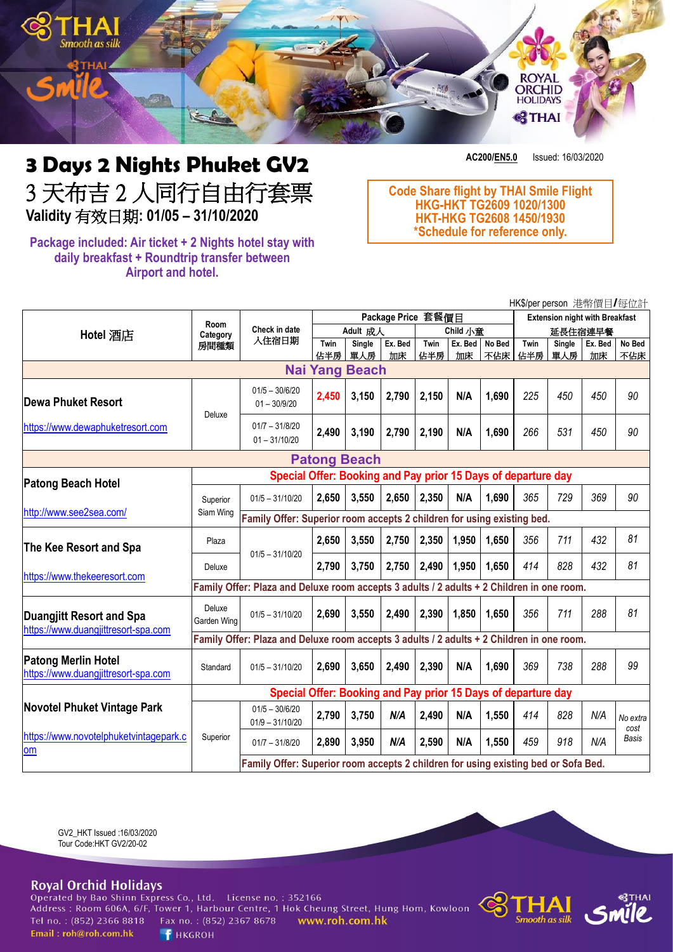

# **3 Days 2 Nights Phuket GV2** 3 天布吉 2 人同行自由行套票 **Validity** 有效日期**: 01/05 – 31/10/2020**

**Package included: Air ticket + 2 Nights hotel stay with daily breakfast + Roundtrip transfer between Airport and hotel.**

**AC200/EN5.0** Issued: 16/03/2020

**Code Share flight by THAI Smile Flight HKG-HKT TG2609 1020/1300 HKT-HKG TG2608 1450/1930 \*Schedule for reference only.**

|                                                                                    |                                                                                           |                                                                                    |                    |                      |               |             |       |                                       |             |               | HK\$/per person 港幣價目/每位計 |                  |
|------------------------------------------------------------------------------------|-------------------------------------------------------------------------------------------|------------------------------------------------------------------------------------|--------------------|----------------------|---------------|-------------|-------|---------------------------------------|-------------|---------------|--------------------------|------------------|
|                                                                                    | Room<br>Category<br>房間種類                                                                  | Check in date<br>入住宿日期                                                             | Package Price 套餐價目 |                      |               |             |       | <b>Extension night with Breakfast</b> |             |               |                          |                  |
| Hotel 酒店                                                                           |                                                                                           |                                                                                    | Adult 成人           |                      | Child 小童      |             |       | 延長住宿連早餐                               |             |               |                          |                  |
|                                                                                    |                                                                                           |                                                                                    | Twin<br>佔半房        | <b>Single</b><br>單人房 | Ex. Bed<br>加床 | Twin<br>佔半房 | 加床    | Ex. Bed No Bed<br>不佔床                 | Twin<br>佔半房 | Single<br>單人房 | Ex. Bed<br>加床            | No Bed<br>不佔床    |
| <b>Nai Yang Beach</b>                                                              |                                                                                           |                                                                                    |                    |                      |               |             |       |                                       |             |               |                          |                  |
| Dewa Phuket Resort                                                                 | Deluxe                                                                                    | $01/5 - 30/6/20$<br>$01 - 30/9/20$                                                 | 2,450              | 3,150                | 2,790         | 2,150       | N/A   | 1,690                                 | 225         | 450           | 450                      | 90               |
| https://www.dewaphuketresort.com                                                   |                                                                                           | $01/7 - 31/8/20$<br>$01 - 31/10/20$                                                | 2,490              | 3,190                | 2,790         | 2,190       | N/A   | 1,690                                 | 266         | 531           | 450                      | 90               |
|                                                                                    |                                                                                           |                                                                                    |                    | <b>Patong Beach</b>  |               |             |       |                                       |             |               |                          |                  |
| <b>Patong Beach Hotel</b>                                                          | Special Offer: Booking and Pay prior 15 Days of departure day                             |                                                                                    |                    |                      |               |             |       |                                       |             |               |                          |                  |
|                                                                                    | Superior                                                                                  | $01/5 - 31/10/20$                                                                  | 2,650              | 3,550                | 2,650         | 2,350       | N/A   | 1,690                                 | 365         | 729           | 369                      | 90               |
| http://www.see2sea.com/                                                            | Siam Wing                                                                                 | Family Offer: Superior room accepts 2 children for using existing bed.             |                    |                      |               |             |       |                                       |             |               |                          |                  |
| The Kee Resort and Spa<br>https://www.thekeeresort.com                             | Plaza                                                                                     | $01/5 - 31/10/20$                                                                  | 2,650              | 3,550                | 2,750         | 2,350       | 1,950 | 1,650                                 | 356         | 711           | 432                      | 81               |
|                                                                                    | Deluxe                                                                                    |                                                                                    | 2,790              | 3,750                | 2,750         | 2,490       | 1,950 | 1,650                                 | 414         | 828           | 432                      | 81               |
|                                                                                    | Family Offer: Plaza and Deluxe room accepts 3 adults / 2 adults + 2 Children in one room. |                                                                                    |                    |                      |               |             |       |                                       |             |               |                          |                  |
| Duangjitt Resort and Spa<br>https://www.duangjittresort-spa.com                    | Deluxe<br>Garden Wing                                                                     | $01/5 - 31/10/20$                                                                  | 2,690              | 3,550                | 2,490         | 2,390       | 1,850 | 1,650                                 | 356         | 711           | 288                      | 81               |
|                                                                                    | Family Offer: Plaza and Deluxe room accepts 3 adults / 2 adults + 2 Children in one room. |                                                                                    |                    |                      |               |             |       |                                       |             |               |                          |                  |
| <b>Patong Merlin Hotel</b><br>https://www.duangjittresort-spa.com                  | Standard                                                                                  | $01/5 - 31/10/20$                                                                  | 2,690              | 3,650                | 2,490         | 2,390       | N/A   | 1,690                                 | 369         | 738           | 288                      | 99               |
| <b>Novotel Phuket Vintage Park</b><br>https://www.novotelphuketvintagepark.c<br>om | Special Offer: Booking and Pay prior 15 Days of departure day                             |                                                                                    |                    |                      |               |             |       |                                       |             |               |                          |                  |
|                                                                                    | Superior                                                                                  | $01/5 - 30/6/20$<br>$01/9 - 31/10/20$                                              | 2,790              | 3,750                | N/A           | 2,490       | N/A   | 1,550                                 | 414         | 828           | N/A                      | No extra<br>cost |
|                                                                                    |                                                                                           | $01/7 - 31/8/20$                                                                   | 2,890              | 3,950                | N/A           | 2,590       | N/A   | 1,550                                 | 459         | 918           | N/A                      | Basis            |
|                                                                                    |                                                                                           | Family Offer: Superior room accepts 2 children for using existing bed or Sofa Bed. |                    |                      |               |             |       |                                       |             |               |                          |                  |

GV2\_HKT Issued :16/03/2020 Tour Code:HKT GV2/20-02

# **Royal Orchid Holidays**

Operated by Bao Shinn Express Co., Ltd. License no.: 352166 Address : Room 606A, 6/F, Tower 1, Harbour Centre, 1 Hok Cheung Street, Hung Hom, Kowloon Tel no.: (852) 2366 8818 Email: roh@roh.com.hk

Fax no.: (852) 2367 8678 **F** HKGROH

www.roh.com.hk

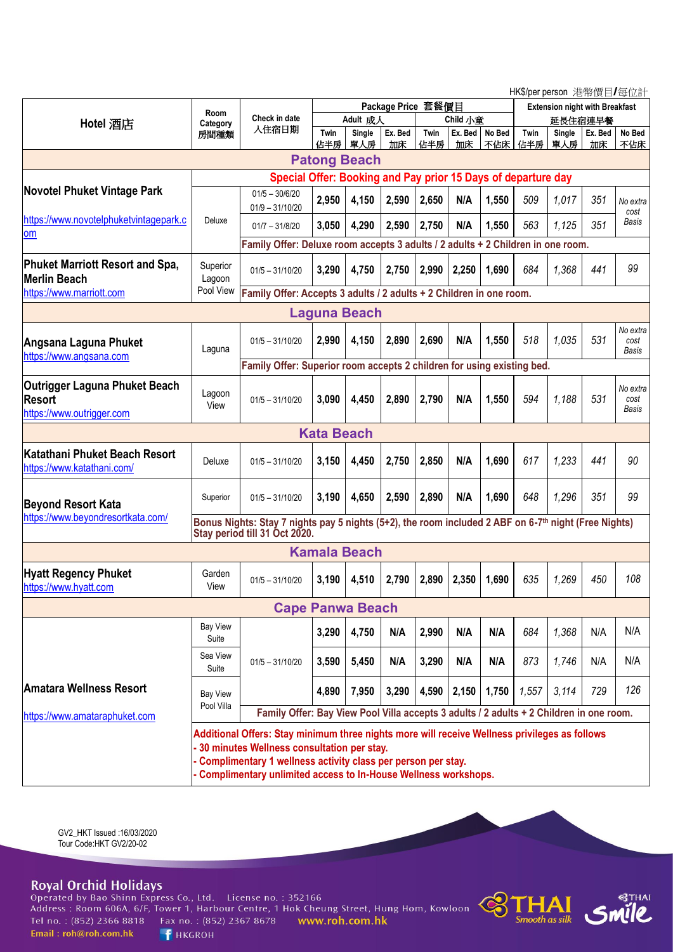HK\$/per person 港幣價目/每位計

|                                                               |                                                                                                      |                                                                                         |                    |        |         |          |       |                                       |         |        | $\overline{C}$ in which poison $\overline{C}$ is in Eq. $\overline{C}$ in $\overline{C}$ |          |
|---------------------------------------------------------------|------------------------------------------------------------------------------------------------------|-----------------------------------------------------------------------------------------|--------------------|--------|---------|----------|-------|---------------------------------------|---------|--------|------------------------------------------------------------------------------------------|----------|
|                                                               | <b>Room</b><br>Category<br>房間種類                                                                      | <b>Check in date</b><br>入住宿日期                                                           | Package Price 套餐價目 |        |         |          |       | <b>Extension night with Breakfast</b> |         |        |                                                                                          |          |
| Hotel 酒店                                                      |                                                                                                      |                                                                                         | Adult 成人           |        |         | Child 小童 |       |                                       | 延長住宿連早餐 |        |                                                                                          |          |
|                                                               |                                                                                                      |                                                                                         | Twin               | Single | Ex. Bed | Twin     |       | Ex. Bed No Bed                        | Twin    | Single | Ex. Bed                                                                                  | No Bed   |
|                                                               |                                                                                                      |                                                                                         | 佔半房                | 單人房    | 加床      | 佔半房      | 加床    | 不佔床                                   | 佔半房     | 單人房    | 加床                                                                                       | 不佔床      |
| <b>Patong Beach</b>                                           |                                                                                                      |                                                                                         |                    |        |         |          |       |                                       |         |        |                                                                                          |          |
| Special Offer: Booking and Pay prior 15 Days of departure day |                                                                                                      |                                                                                         |                    |        |         |          |       |                                       |         |        |                                                                                          |          |
| <b>Novotel Phuket Vintage Park</b>                            |                                                                                                      |                                                                                         |                    |        |         |          |       |                                       |         |        |                                                                                          |          |
|                                                               |                                                                                                      | $01/5 - 30/6/20$                                                                        | 2,950              | 4,150  | 2,590   | 2,650    | N/A   | 1,550                                 | 509     | 1,017  | 351                                                                                      | No extra |
| https://www.novotelphuketvintagepark.c                        |                                                                                                      | $01/9 - 31/10/20$                                                                       |                    |        |         |          |       |                                       |         |        |                                                                                          | cost     |
|                                                               | Deluxe                                                                                               | $01/7 - 31/8/20$                                                                        | 3,050              | 4,290  | 2,590   | 2,750    | N/A   | 1,550                                 | 563     | 1,125  | 351                                                                                      | Basis    |
| om                                                            |                                                                                                      | Family Offer: Deluxe room accepts 3 adults / 2 adults + 2 Children in one room.         |                    |        |         |          |       |                                       |         |        |                                                                                          |          |
|                                                               |                                                                                                      |                                                                                         |                    |        |         |          |       |                                       |         |        |                                                                                          |          |
| <b>Phuket Marriott Resort and Spa,</b>                        | Superior                                                                                             | $01/5 - 31/10/20$                                                                       | 3,290              | 4,750  | 2,750   | 2,990    | 2,250 | 1,690                                 | 684     | 1,368  | 441                                                                                      | 99       |
| <b>Merlin Beach</b>                                           | Lagoon                                                                                               |                                                                                         |                    |        |         |          |       |                                       |         |        |                                                                                          |          |
| https://www.marriott.com                                      | Pool View                                                                                            | Family Offer: Accepts 3 adults / 2 adults + 2 Children in one room.                     |                    |        |         |          |       |                                       |         |        |                                                                                          |          |
| <b>Laguna Beach</b>                                           |                                                                                                      |                                                                                         |                    |        |         |          |       |                                       |         |        |                                                                                          |          |
|                                                               |                                                                                                      |                                                                                         |                    |        |         |          |       |                                       |         |        |                                                                                          | No extra |
| Angsana Laguna Phuket                                         |                                                                                                      | $01/5 - 31/10/20$                                                                       | 2,990              | 4,150  | 2,890   | 2,690    | N/A   | 1,550                                 | 518     | 1,035  | 531                                                                                      | cost     |
| https://www.angsana.com                                       | Laguna                                                                                               |                                                                                         |                    |        |         |          |       |                                       |         |        |                                                                                          | Basis    |
|                                                               |                                                                                                      | Family Offer: Superior room accepts 2 children for using existing bed.                  |                    |        |         |          |       |                                       |         |        |                                                                                          |          |
| Outrigger Laguna Phuket Beach                                 |                                                                                                      |                                                                                         |                    |        |         |          |       |                                       |         |        |                                                                                          | No extra |
| <b>Resort</b>                                                 | Lagoon                                                                                               | $01/5 - 31/10/20$                                                                       | 3,090              | 4,450  | 2,890   | 2,790    | N/A   | 1,550                                 | 594     | 1,188  | 531                                                                                      | cost     |
| https://www.outrigger.com                                     | View                                                                                                 |                                                                                         |                    |        |         |          |       |                                       |         |        |                                                                                          | Basis    |
|                                                               |                                                                                                      |                                                                                         |                    |        |         |          |       |                                       |         |        |                                                                                          |          |
|                                                               |                                                                                                      |                                                                                         | <b>Kata Beach</b>  |        |         |          |       |                                       |         |        |                                                                                          |          |
| Katathani Phuket Beach Resort                                 |                                                                                                      |                                                                                         |                    |        |         |          |       |                                       |         |        |                                                                                          |          |
| https://www.katathani.com/                                    | Deluxe                                                                                               | $01/5 - 31/10/20$                                                                       | 3,150              | 4,450  | 2,750   | 2,850    | N/A   | 1,690                                 | 617     | 1,233  | 441                                                                                      | 90       |
|                                                               |                                                                                                      |                                                                                         |                    |        |         |          |       |                                       |         |        |                                                                                          |          |
|                                                               | Superior                                                                                             | $01/5 - 31/10/20$                                                                       | 3,190              | 4,650  | 2,590   | 2,890    | N/A   | 1,690                                 | 648     | 1,296  | 351                                                                                      | 99       |
| <b>Beyond Resort Kata</b>                                     |                                                                                                      |                                                                                         |                    |        |         |          |       |                                       |         |        |                                                                                          |          |
| https://www.beyondresortkata.com/                             | Bonus Nights: Stay 7 nights pay 5 nights (5+2), the room included 2 ABF on 6-7th night (Free Nights) |                                                                                         |                    |        |         |          |       |                                       |         |        |                                                                                          |          |
| Stay period till 31 Oct 2020.                                 |                                                                                                      |                                                                                         |                    |        |         |          |       |                                       |         |        |                                                                                          |          |
| <b>Kamala Beach</b>                                           |                                                                                                      |                                                                                         |                    |        |         |          |       |                                       |         |        |                                                                                          |          |
|                                                               |                                                                                                      |                                                                                         |                    |        |         |          |       |                                       |         |        |                                                                                          |          |
| <b>Hyatt Regency Phuket</b>                                   | Garden                                                                                               | $01/5 - 31/10/20$                                                                       | 3,190              | 4,510  | 2,790   | 2,890    | 2,350 | 1,690                                 | 635     | 1,269  | 450                                                                                      | 108      |
| https://www.hyatt.com                                         | View                                                                                                 |                                                                                         |                    |        |         |          |       |                                       |         |        |                                                                                          |          |
| <b>Cape Panwa Beach</b>                                       |                                                                                                      |                                                                                         |                    |        |         |          |       |                                       |         |        |                                                                                          |          |
|                                                               | <b>Bay View</b>                                                                                      |                                                                                         |                    |        |         |          |       |                                       |         |        |                                                                                          |          |
|                                                               | Suite                                                                                                |                                                                                         | 3,290              | 4,750  | N/A     | 2,990    | N/A   | N/A                                   | 684     | 1,368  | N/A                                                                                      | N/A      |
|                                                               |                                                                                                      |                                                                                         |                    |        |         |          |       |                                       |         |        |                                                                                          |          |
|                                                               | Sea View                                                                                             | $01/5 - 31/10/20$                                                                       | 3,590              | 5,450  | N/A     | 3,290    | N/A   | N/A                                   | 873     | 1,746  | N/A                                                                                      | N/A      |
|                                                               | Suite                                                                                                |                                                                                         |                    |        |         |          |       |                                       |         |        |                                                                                          |          |
| <b>Amatara Wellness Resort</b><br><b>Bay View</b>             |                                                                                                      |                                                                                         | 4,890              | 7,950  | 3,290   | 4,590    | 2,150 | 1,750                                 | 1,557   | 3,114  | 729                                                                                      | 126      |
|                                                               | Pool Villa                                                                                           |                                                                                         |                    |        |         |          |       |                                       |         |        |                                                                                          |          |
| https://www.amataraphuket.com                                 |                                                                                                      | Family Offer: Bay View Pool Villa accepts 3 adults / 2 adults + 2 Children in one room. |                    |        |         |          |       |                                       |         |        |                                                                                          |          |
|                                                               | Additional Offers: Stay minimum three nights more will receive Wellness privileges as follows        |                                                                                         |                    |        |         |          |       |                                       |         |        |                                                                                          |          |
|                                                               |                                                                                                      | 30 minutes Wellness consultation per stay.                                              |                    |        |         |          |       |                                       |         |        |                                                                                          |          |
|                                                               |                                                                                                      | Complimentary 1 wellness activity class per person per stay.                            |                    |        |         |          |       |                                       |         |        |                                                                                          |          |
|                                                               | Complimentary unlimited access to In-House Wellness workshops.                                       |                                                                                         |                    |        |         |          |       |                                       |         |        |                                                                                          |          |
|                                                               |                                                                                                      |                                                                                         |                    |        |         |          |       |                                       |         |        |                                                                                          |          |

GV2\_HKT Issued :16/03/2020 Tour Code:HKT GV2/20-02

**Royal Orchid Holidays**<br>Operated by Bao Shinn Express Co., Ltd. License no.: 352166<br>Address: Room 606A, 6/F, Tower 1, Harbour Centre, 1 Hok Cheung Street, Hung Hom, Kowloon Tel no.: (852) 2366 8818 Fax no.: (852) 2367 8678 www.roh.com.hk Email: roh@roh.com.hk F HKGROH



**State**